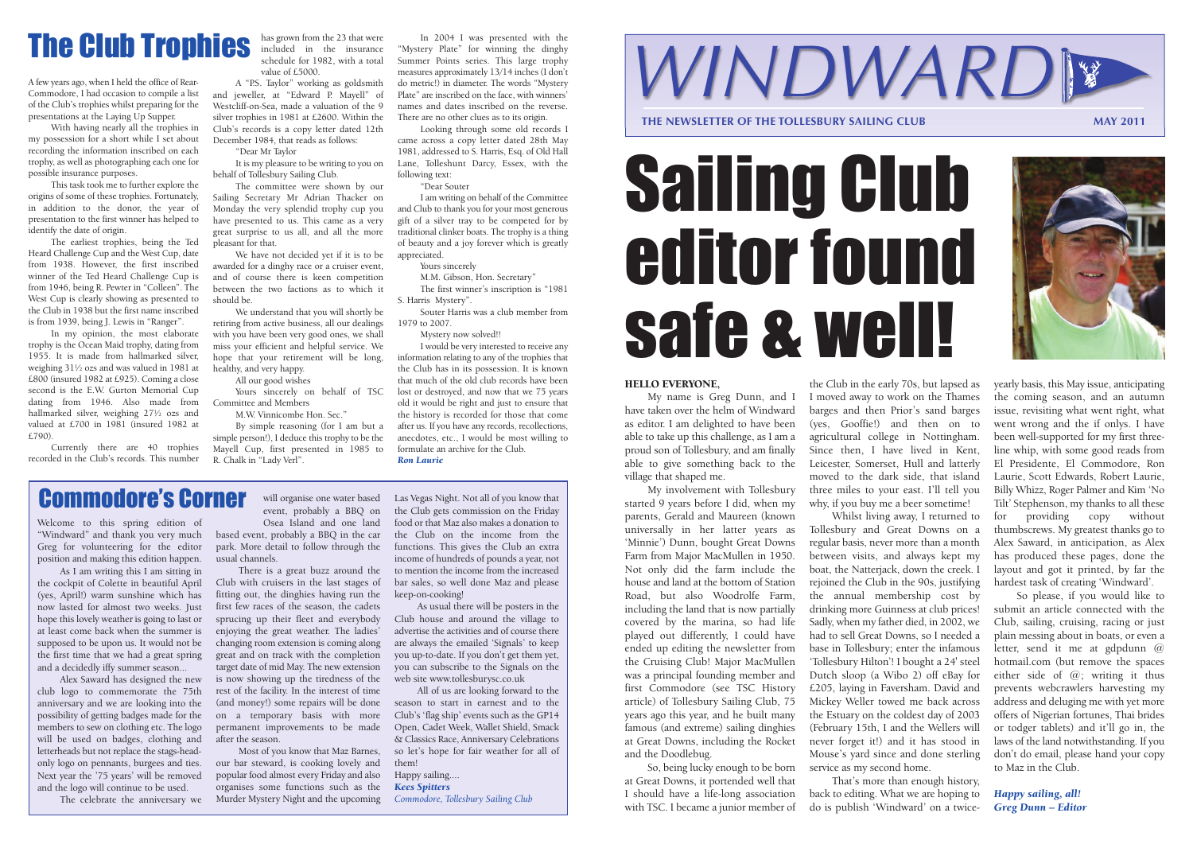#### HELLO EVERYONE,

My name is Greg Dunn, and I have taken over the helm of Windward as editor. I am delighted to have been able to take up this challenge, as I am a proud son of Tollesbury, and am finally able to give something back to the village that shaped me.

So, being lucky enough to be born at Great Downs, it portended well that I should have a life-long association with TSC. I became a junior member of

My involvement with Tollesbury started 9 years before I did, when my parents, Gerald and Maureen (known universally in her latter years as 'Minnie') Dunn, bought Great Downs Farm from Major MacMullen in 1950. Not only did the farm include the house and land at the bottom of Station Road, but also Woodrolfe Farm, including the land that is now partially covered by the marina, so had life played out differently, I could have ended up editing the newsletter from the Cruising Club! Major MacMullen was a principal founding member and first Commodore (see TSC History article) of Tollesbury Sailing Club, 75 years ago this year, and he built many famous (and extreme) sailing dinghies at Great Downs, including the Rocket and the Doodlebug.

the Club in the early 70s, but lapsed as I moved away to work on the Thames barges and then Prior's sand barges (yes, Gooffie!) and then on to agricultural college in Nottingham. Since then, I have lived in Kent, Leicester, Somerset, Hull and latterly moved to the dark side, that island three miles to your east. I'll tell you why, if you buy me a beer sometime! Whilst living away, I returned to Tollesbury and Great Downs on a regular basis, never more than a month between visits, and always kept my boat, the Natterjack, down the creek. I rejoined the Club in the 90s, justifying the annual membership cost by drinking more Guinness at club prices! Sadly, when my father died, in 2002, we had to sell Great Downs, so I needed a

base in Tollesbury; enter the infamous 'Tollesbury Hilton'! I bought a 24' steel Dutch sloop (a Wibo 2) off eBay for £205, laying in Faversham. David and Mickey Weller towed me back across the Estuary on the coldest day of 2003 (February 15th, I and the Wellers will never forget it!) and it has stood in Mouse's yard since and done sterling service as my second home.

That's more than enough history, back to editing. What we are hoping to do is publish 'Windward' on a twice-



So please, if you would like to submit an article connected with the Club, sailing, cruising, racing or just plain messing about in boats, or even a letter, send it me at gdpdunn @ hotmail.com (but remove the spaces either side of  $(0)$ ; writing it thus prevents webcrawlers harvesting my address and deluging me with yet more offers of Nigerian fortunes, Thai brides or todger tablets) and it'll go in, the laws of the land notwithstanding. If you don't do email, please hand your copy to Maz in the Club.

*Happy sailing, all! Greg Dunn – Editor*



# Sailing Club editor found safe & well!

Welcome to this spring edition of "Windward" and thank you very much Greg for volunteering for the editor position and making this edition happen.

As I am writing this I am sitting in the cockpit of Colette in beautiful April (yes, April!) warm sunshine which has now lasted for almost two weeks. Just hope this lovely weather is going to last or at least come back when the summer is supposed to be upon us. It would not be the first time that we had a great spring and a decidedly iffy summer season...

Alex Saward has designed the new club logo to commemorate the 75th anniversary and we are looking into the possibility of getting badges made for the members to sew on clothing etc. The logo will be used on badges, clothing and letterheads but not replace the stags-headonly logo on pennants, burgees and ties. Next year the '75 years' will be removed and the logo will continue to be used.

will organise one water based

event, probably a BBQ on Osea Island and one land based event, probably a BBQ in the car park. More detail to follow through the usual channels.

The celebrate the anniversary we Murder Mystery Night and the upcoming Most of you know that Maz Barnes, our bar steward, is cooking lovely and popular food almost every Friday and also organises some functions such as the

There is a great buzz around the Club with cruisers in the last stages of fitting out, the dinghies having run the first few races of the season, the cadets sprucing up their fleet and everybody enjoying the great weather. The ladies' changing room extension is coming along great and on track with the completion target date of mid May. The new extension is now showing up the tiredness of the rest of the facility. In the interest of time (and money!) some repairs will be done on a temporary basis with more permanent improvements to be made after the season.

Las Vegas Night. Not all of you know that the Club gets commission on the Friday food or that Maz also makes a donation to the Club on the income from the functions. This gives the Club an extra income of hundreds of pounds a year, not to mention the income from the increased bar sales, so well done Maz and please keep-on-cooking!

As usual there will be posters in the Club house and around the village to advertise the activities and of course there are always the emailed 'Signals' to keep you up-to-date. If you don't get them yet, you can subscribe to the Signals on the web site www.tollesburysc.co.uk

All of us are looking forward to the season to start in earnest and to the Club's 'flag ship' events such as the GP14 Open, Cadet Week, Wallet Shield, Smack & Classics Race, Anniversary Celebrations so let's hope for fair weather for all of them!

Happy sailing.... *Kees Spitters Commodore, Tollesbury Sailing Club*

#### Commodore's Corner

A few years ago, when I held the office of Rear-Commodore, I had occasion to compile a list of the Club's trophies whilst preparing for the presentations at the Laying Up Supper.

With having nearly all the trophies in my possession for a short while I set about recording the information inscribed on each trophy, as well as photographing each one for possible insurance purposes.

This task took me to further explore the origins of some of these trophies. Fortunately, in addition to the donor, the year of presentation to the first winner has helped to identify the date of origin.

The earliest trophies, being the Ted Heard Challenge Cup and the West Cup, date from 1938. However, the first inscribed winner of the Ted Heard Challenge Cup is from 1946, being R. Pewter in "Colleen". The West Cup is clearly showing as presented to the Club in 1938 but the first name inscribed is from 1939, being J. Lewis in "Ranger".

In my opinion, the most elaborate trophy is the Ocean Maid trophy, dating from 1955. It is made from hallmarked silver, weighing 31½ ozs and was valued in 1981 at £800 (insured 1982 at £925). Coming a close second is the E.W. Gurton Memorial Cup dating from 1946. Also made from hallmarked silver, weighing 27½ ozs and valued at £700 in 1981 (insured 1982 at £790).

Currently there are 40 trophies recorded in the Club's records. This number has grown from the 23 that were included in the insurance schedule for 1982, with a total value of £5000.

A "P.S. Taylor" working as goldsmith and jeweller, at "Edward P. Mayell" of Westcliff-on-Sea, made a valuation of the 9 silver trophies in 1981 at £2600. Within the Club's records is a copy letter dated 12th December 1984, that reads as follows: "Dear Mr Taylor

It is my pleasure to be writing to you on

behalf of Tollesbury Sailing Club. The committee were shown by our Sailing Secretary Mr Adrian Thacker on Monday the very splendid trophy cup you have presented to us. This came as a very great surprise to us all, and all the more pleasant for that.

We have not decided yet if it is to be awarded for a dinghy race or a cruiser event, and of course there is keen competition between the two factions as to which it should be.

We understand that you will shortly be retiring from active business, all our dealings with you have been very good ones, we shall miss your efficient and helpful service. We hope that your retirement will be long, healthy, and very happy.

All our good wishes

Yours sincerely on behalf of TSC Committee and Members

M.W. Vinnicombe Hon. Sec."

By simple reasoning (for I am but a simple person!), I deduce this trophy to be the Mayell Cup, first presented in 1985 to R. Chalk in "Lady Verl".

In 2004 I was presented with the "Mystery Plate" for winning the dinghy Summer Points series. This large trophy measures approximately 13/14 inches (I don't do metric!) in diameter. The words "Mystery Plate" are inscribed on the face, with winners' names and dates inscribed on the reverse. There are no other clues as to its origin.

Looking through some old records I came across a copy letter dated 28th May 1981, addressed to S. Harris, Esq. of Old Hall Lane, Tolleshunt Darcy, Essex, with the following text:

"Dear Souter

I am writing on behalf of the Committee and Club to thank you for your most generous gift of a silver tray to be competed for by traditional clinker boats. The trophy is a thing of beauty and a joy forever which is greatly appreciated.

Yours sincerely

M.M. Gibson, Hon. Secretary"

The first winner's inscription is "1981 S. Harris Mystery".

Souter Harris was a club member from 1979 to 2007.

Mystery now solved!!

I would be very interested to receive any information relating to any of the trophies that the Club has in its possession. It is known that much of the old club records have been lost or destroyed, and now that we 75 years old it would be right and just to ensure that the history is recorded for those that come after us. If you have any records, recollections, anecdotes, etc., I would be most willing to formulate an archive for the Club. *Ron Laurie*

### The Club Trophies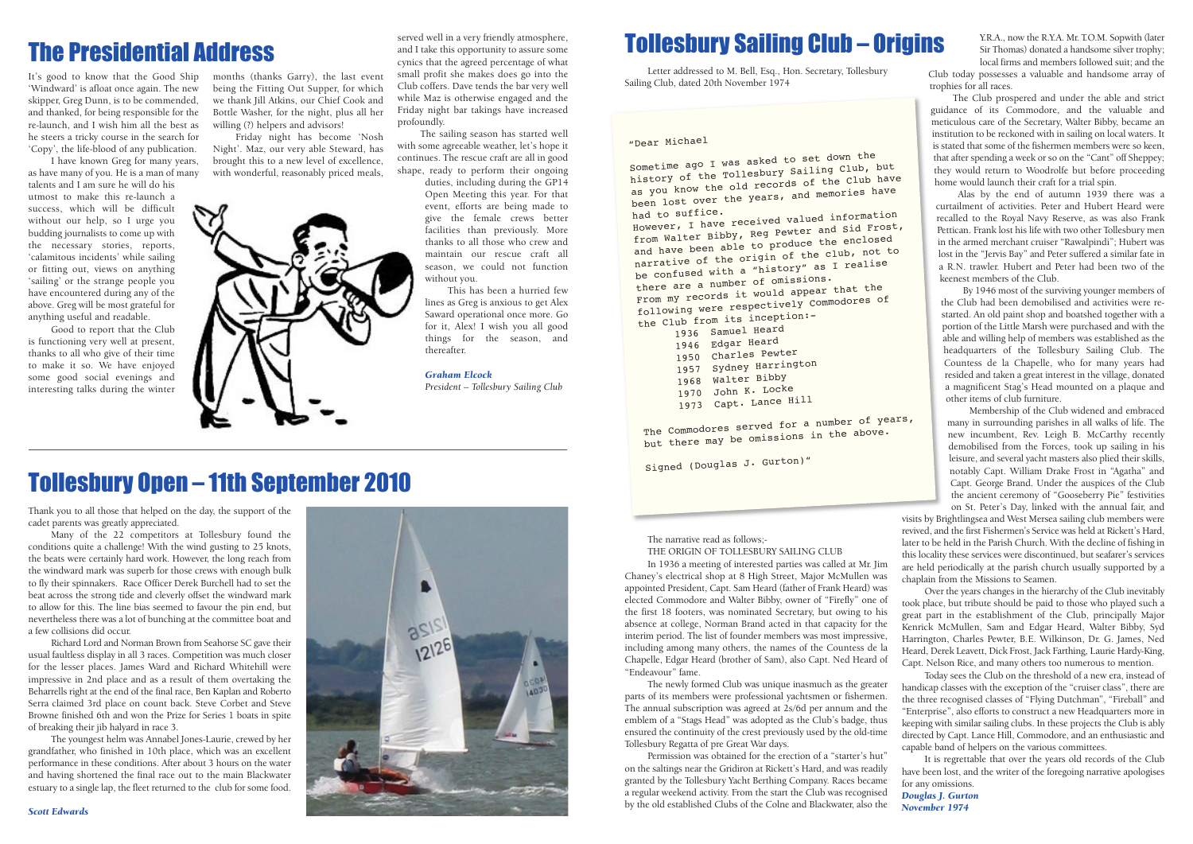Thank you to all those that helped on the day, the support of the cadet parents was greatly appreciated.

Many of the 22 competitors at Tollesbury found the conditions quite a challenge! With the wind gusting to 25 knots, the beats were certainly hard work. However, the long reach from the windward mark was superb for those crews with enough bulk to fly their spinnakers. Race Officer Derek Burchell had to set the beat across the strong tide and cleverly offset the windward mark to allow for this. The line bias seemed to favour the pin end, but nevertheless there was a lot of bunching at the committee boat and a few collisions did occur.

Richard Lord and Norman Brown from Seahorse SC gave their usual faultless display in all 3 races. Competition was much closer for the lesser places. James Ward and Richard Whitehill were impressive in 2nd place and as a result of them overtaking the Beharrells right at the end of the final race, Ben Kaplan and Roberto Serra claimed 3rd place on count back. Steve Corbet and Steve Browne finished 6th and won the Prize for Series 1 boats in spite of breaking their jib halyard in race 3.

The youngest helm was Annabel Jones-Laurie, crewed by her grandfather, who finished in 10th place, which was an excellent performance in these conditions. After about 3 hours on the water and having shortened the final race out to the main Blackwater estuary to a single lap, the fleet returned to the club for some food.



### The Presidential Address and I take this opportunity to assure some **Tollesbury Sailing Club – Origins**

Friday night has become 'Nosh Night'. Maz, our very able Steward, has brought this to a new level of excellence, with wonderful, reasonably priced meals,



It's good to know that the Good Ship 'Windward' is afloat once again. The new skipper, Greg Dunn, is to be commended, and thanked, for being responsible for the re-launch, and I wish him all the best as he steers a tricky course in the search for 'Copy', the life-blood of any publication.

I have known Greg for many years, as have many of you. He is a man of many talents and I am sure he will do his utmost to make this re-launch a success, which will be difficult without our help, so I urge you budding journalists to come up with the necessary stories, reports, 'calamitous incidents' while sailing or fitting out, views on anything 'sailing' or the strange people you have encountered during any of the above. Greg will be most grateful for anything useful and readable.

Good to report that the Club is functioning very well at present, thanks to all who give of their time to make it so. We have enjoyed some good social evenings and interesting talks during the winter

months (thanks Garry), the last event being the Fitting Out Supper, for which we thank Jill Atkins, our Chief Cook and Bottle Washer, for the night, plus all her willing (?) helpers and advisors!

served well in a very friendly atmosphere, and I take this opportunity to assure some cynics that the agreed percentage of what small profit she makes does go into the Club coffers. Dave tends the bar very well while Maz is otherwise engaged and the Friday night bar takings have increased profoundly.

The sailing season has started well with some agreeable weather, let's hope it continues. The rescue craft are all in good shape, ready to perform their ongoing

duties, including during the GP14 Open Meeting this year. For that event, efforts are being made to give the female crews better facilities than previously. More thanks to all those who crew and maintain our rescue craft all season, we could not function without you.

This has been a hurried few lines as Greg is anxious to get Alex Saward operational once more. Go for it, Alex! I wish you all good things for the season, and thereafter.

*Graham Elcock President – Tollesbury Sailing Club*

Letter addressed to M. Bell, Esq., Hon. Secretary, Tollesbury Sailing Club, dated 20th November 1974

The narrative read as follows;-

THE ORIGIN OF TOLLESBURY SAILING CLUB

had to suffice. However, I have received valued information from Walter Bibby, Reg Pewter and Sid Frost, and have been able to produce the enclosed narrative of the origin of the club, not to be confused with a "history" as I realise there are a number of omissions. From my records it would appear that the following were respectively Commodores o<sup>f</sup> the Club from its inception:-

The newly formed Club was unique inasmuch as the greater parts of its members were professional yachtsmen or fishermen. The annual subscription was agreed at 2s/6d per annum and the emblem of a "Stags Head" was adopted as the Club's badge, thus ensured the continuity of the crest previously used by the old-time Tollesbury Regatta of pre Great War days.

Permission was obtained for the erection of a "starter's hut" on the saltings near the Gridiron at Rickett's Hard, and was readily granted by the Tollesbury Yacht Berthing Company. Races became a regular weekend activity. From the start the Club was recognised by the old established Clubs of the Colne and Blackwater, also the

Y.R.A., now the R.Y.A. Mr. T.O.M. Sopwith (later Sir Thomas) donated a handsome silver trophy; local firms and members followed suit; and the

Club today possesses a valuable and handsome array of trophies for all races.

The Club prospered and under the able and strict guidance of its Commodore, and the valuable and meticulous care of the Secretary, Walter Bibby, became an institution to be reckoned with in sailing on local waters. It is stated that some of the fishermen members were so keen, that after spending a week or so on the "Cant" off Sheppey; they would return to Woodrolfe but before proceeding home would launch their craft for a trial spin.

In 1936 a meeting of interested parties was called at Mr. Jim Chaney's electrical shop at 8 High Street, Major McMullen was appointed President, Capt. Sam Heard (father of Frank Heard) was elected Commodore and Walter Bibby, owner of "Firefly" one of the first 18 footers, was nominated Secretary, but owing to his absence at college, Norman Brand acted in that capacity for the interim period. The list of founder members was most impressive, including among many others, the names of the Countess de la Chapelle, Edgar Heard (brother of Sam), also Capt. Ned Heard of "Endeavour" fame. are held periodically at the parish church usually supported by a chaplain from the Missions to Seamen. Over the years changes in the hierarchy of the Club inevitably took place, but tribute should be paid to those who played such a great part in the establishment of the Club, principally Major Kenrick McMullen, Sam and Edgar Heard, Walter Bibby, Syd Harrington, Charles Pewter, B.E. Wilkinson, Dr. G. James, Ned Heard, Derek Leavett, Dick Frost, Jack Farthing, Laurie Hardy-King, Capt. Nelson Rice, and many others too numerous to mention.

Alas by the end of autumn 1939 there was a curtailment of activities. Peter and Hubert Heard were recalled to the Royal Navy Reserve, as was also Frank Pettican. Frank lost his life with two other Tollesbury men in the armed merchant cruiser "Rawalpindi"; Hubert was lost in the "Jervis Bay" and Peter suffered a similar fate in a R.N. trawler. Hubert and Peter had been two of the keenest members of the Club.

By 1946 most of the surviving younger members of the Club had been demobilised and activities were restarted. An old paint shop and boatshed together with a portion of the Little Marsh were purchased and with the able and willing help of members was established as the headquarters of the Tollesbury Sailing Club. The Countess de la Chapelle, who for many years had resided and taken a great interest in the village, donated a magnificent Stag's Head mounted on a plaque and other items of club furniture.

Membership of the Club widened and embraced many in surrounding parishes in all walks of life. The new incumbent, Rev. Leigh B. McCarthy recently demobilised from the Forces, took up sailing in his leisure, and several yacht masters also plied their skills, notably Capt. William Drake Frost in "Agatha" and Capt. George Brand. Under the auspices of the Club the ancient ceremony of "Gooseberry Pie" festivities on St. Peter's Day, linked with the annual fair, and

visits by Brightlingsea and West Mersea sailing club members were revived, and the first Fishermen's Service was held at Rickett's Hard, later to be held in the Parish Church. With the decline of fishing in this locality these services were discontinued, but seafarer's services

Today sees the Club on the threshold of a new era, instead of handicap classes with the exception of the "cruiser class", there are the three recognised classes of "Flying Dutchman", "Fireball" and "Enterprise", also efforts to construct a new Headquarters more in keeping with similar sailing clubs. In these projects the Club is ably directed by Capt. Lance Hill, Commodore, and an enthusiastic and capable band of helpers on the various committees.

It is regrettable that over the years old records of the Club have been lost, and the writer of the foregoing narrative apologises for any omissions.

*Douglas J. Gurton November 1974*

#### Tollesbury Open – 11th September 2010

#### "Dear Michae<sup>l</sup>

Sometime ago I was asked to set down the history of the Tollesbury Sailing Club, but as you know the old records of the Club have been lost over the years, and memories have

> Samuel Hear<sup>d</sup> Edgar Heard Charles Pewter Sydney Harrington Walter Bibby John K. Locke Capt. Lance Hill

The Commodores served for a number of years, but there may be omissions in the above.

Signed (Douglas J. Gurton)"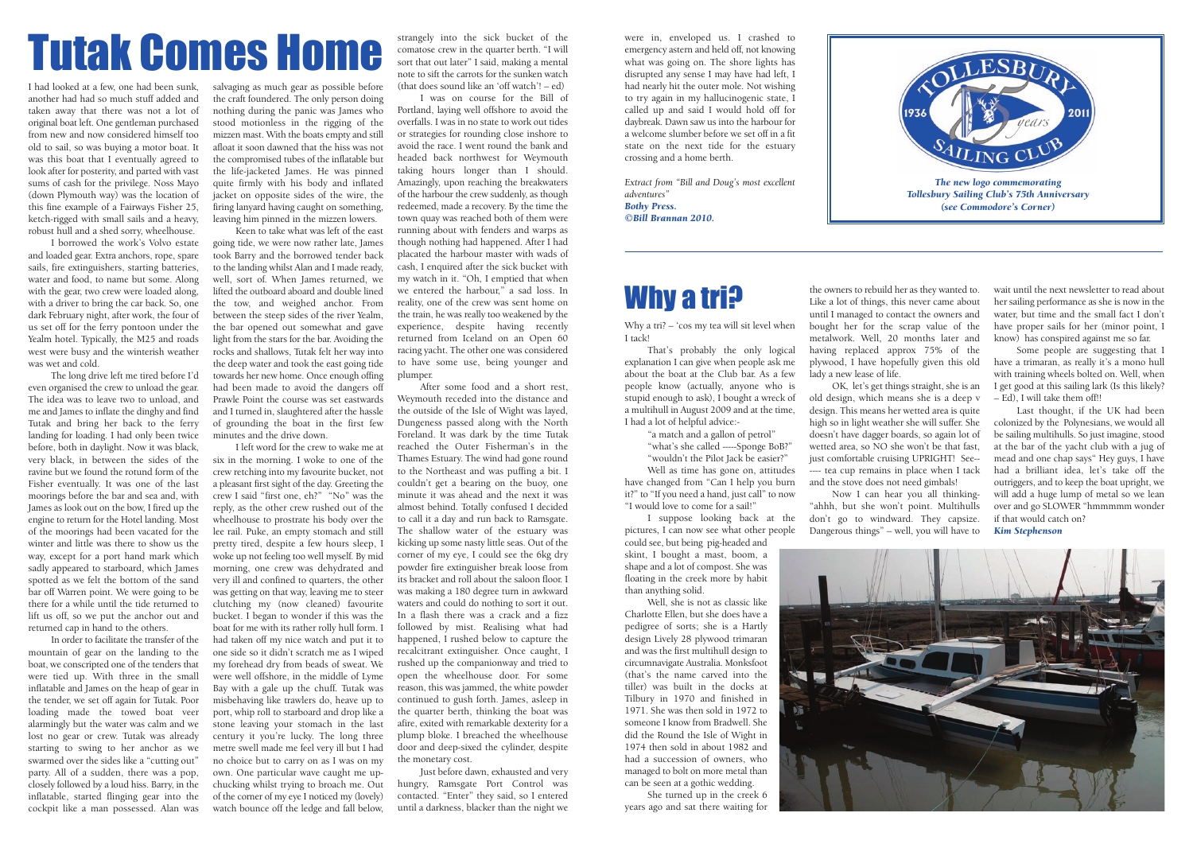## strangely into the sick bucket of the were in, enveloped us. I crashed to comatose crew in the quarter berth. "I will energency astern and held off, not knowing sort that out later" I said, making a mental

I had looked at a few, one had been sunk, another had had so much stuff added and taken away that there was not a lot of original boat left. One gentleman purchased from new and now considered himself too old to sail, so was buying a motor boat. It was this boat that I eventually agreed to look after for posterity, and parted with vast sums of cash for the privilege. Noss Mayo (down Plymouth way) was the location of this fine example of a Fairways Fisher 25, ketch-rigged with small sails and a heavy, robust hull and a shed sorry, wheelhouse.

I borrowed the work's Volvo estate and loaded gear. Extra anchors, rope, spare sails, fire extinguishers, starting batteries, water and food, to name but some. Along with the gear, two crew were loaded along, with a driver to bring the car back. So, one dark February night, after work, the four of us set off for the ferry pontoon under the Yealm hotel. Typically, the M25 and roads west were busy and the winterish weather was wet and cold.

The long drive left me tired before I'd even organised the crew to unload the gear. The idea was to leave two to unload, and me and James to inflate the dinghy and find Tutak and bring her back to the ferry landing for loading. I had only been twice before, both in daylight. Now it was black, very black, in between the sides of the ravine but we found the rotund form of the Fisher eventually. It was one of the last moorings before the bar and sea and, with James as look out on the bow, I fired up the engine to return for the Hotel landing. Most of the moorings had been vacated for the winter and little was there to show us the way, except for a port hand mark which sadly appeared to starboard, which James spotted as we felt the bottom of the sand bar off Warren point. We were going to be there for a while until the tide returned to lift us off, so we put the anchor out and returned cap in hand to the others.

I left word for the crew to wake me at six in the morning. I woke to one of the crew retching into my favourite bucket, not a pleasant first sight of the day. Greeting the crew I said "first one, eh?" "No" was the reply, as the other crew rushed out of the wheelhouse to prostrate his body over the lee rail. Puke, an empty stomach and still pretty tired, despite a few hours sleep, I woke up not feeling too well myself. By mid morning, one crew was dehydrated and very ill and confined to quarters, the other was getting on that way, leaving me to steer clutching my (now cleaned) favourite bucket. I began to wonder if this was the boat for me with its rather rolly hull form. I had taken off my nice watch and put it to one side so it didn't scratch me as I wiped my forehead dry from beads of sweat. We were well offshore, in the middle of Lyme Bay with a gale up the chuff. Tutak was misbehaving like trawlers do, heave up to port, whip roll to starboard and drop like a stone leaving your stomach in the last century it you're lucky. The long three metre swell made me feel very ill but I had no choice but to carry on as I was on my own. One particular wave caught me upchucking whilst trying to broach me. Out of the corner of my eye I noticed my (lovely) watch bounce off the ledge and fall below.

In order to facilitate the transfer of the mountain of gear on the landing to the boat, we conscripted one of the tenders that were tied up. With three in the small inflatable and James on the heap of gear in the tender, we set off again for Tutak. Poor loading made the towed boat veer alarmingly but the water was calm and we lost no gear or crew. Tutak was already starting to swing to her anchor as we swarmed over the sides like a "cutting out" party. All of a sudden, there was a pop, closely followed by a loud hiss. Barry, in the inflatable, started flinging gear into the cockpit like a man possessed. Alan was

strangely into the sick bucket of the comatose crew in the quarter berth. "I will sort that out later" I said, making a mental note to sift the carrots for the sunken watch (that does sound like an 'off watch'! – ed)

salvaging as much gear as possible before the craft foundered. The only person doing nothing during the panic was James who stood motionless in the rigging of the mizzen mast. With the boats empty and still afloat it soon dawned that the hiss was not the compromised tubes of the inflatable but the life-jacketed James. He was pinned quite firmly with his body and inflated jacket on opposite sides of the wire, the firing lanyard having caught on something, leaving him pinned in the mizzen lowers.

Keen to take what was left of the east going tide, we were now rather late, James took Barry and the borrowed tender back to the landing whilst Alan and I made ready, well, sort of. When James returned, we lifted the outboard aboard and double lined the tow, and weighed anchor. From between the steep sides of the river Yealm, the bar opened out somewhat and gave light from the stars for the bar. Avoiding the rocks and shallows, Tutak felt her way into the deep water and took the east going tide towards her new home. Once enough offing had been made to avoid the dangers off Prawle Point the course was set eastwards and I turned in, slaughtered after the hassle of grounding the boat in the first few minutes and the drive down.

I was on course for the Bill of Portland, laying well offshore to avoid the overfalls. I was in no state to work out tides or strategies for rounding close inshore to avoid the race. I went round the bank and headed back northwest for Weymouth taking hours longer than I should. Amazingly, upon reaching the breakwaters of the harbour the crew suddenly, as though redeemed, made a recovery. By the time the town quay was reached both of them were running about with fenders and warps as though nothing had happened. After I had placated the harbour master with wads of cash, I enquired after the sick bucket with my watch in it. "Oh, I emptied that when we entered the harbour," a sad loss. In reality, one of the crew was sent home on the train, he was really too weakened by the experience, despite having recently returned from Iceland on an Open 60 racing yacht. The other one was considered to have some use, being younger and plumper.

After some food and a short rest, Weymouth receded into the distance and the outside of the Isle of Wight was layed, Dungeness passed along with the North Foreland. It was dark by the time Tutak reached the Outer Fisherman's in the Thames Estuary. The wind had gone round to the Northeast and was puffing a bit. I couldn't get a bearing on the buoy, one minute it was ahead and the next it was almost behind. Totally confused I decided to call it a day and run back to Ramsgate. The shallow water of the estuary was kicking up some nasty little seas. Out of the corner of my eye, I could see the 6kg dry powder fire extinguisher break loose from its bracket and roll about the saloon floor. I was making a 180 degree turn in awkward waters and could do nothing to sort it out. In a flash there was a crack and a fizz followed by mist. Realising what had happened, I rushed below to capture the recalcitrant extinguisher. Once caught, I rushed up the companionway and tried to open the wheelhouse door. For some reason, this was jammed, the white powder continued to gush forth. James, asleep in the quarter berth, thinking the boat was afire, exited with remarkable dexterity for a plump bloke. I breached the wheelhouse door and deep-sixed the cylinder, despite the monetary cost.

Just before dawn, exhausted and very hungry, Ramsgate Port Control was contacted. "Enter" they said, so I entered until a darkness, blacker than the night we

emergency astern and held off, not knowing what was going on. The shore lights has disrupted any sense I may have had left, I had nearly hit the outer mole. Not wishing to try again in my hallucinogenic state, I called up and said I would hold off for daybreak. Dawn saw us into the harbour for a welcome slumber before we set off in a fit state on the next tide for the estuary crossing and a home berth.

*Extract from "Bill and Doug's most excellent adventures" Bothy Press. ©Bill Brannan 2010.*

#### Why a tri?

Why a tri? – 'cos my tea will sit level when I tack!

That's probably the only logical explanation I can give when people ask me about the boat at the Club bar. As a few people know (actually, anyone who is stupid enough to ask), I bought a wreck of a multihull in August 2009 and at the time, I had a lot of helpful advice:-

"a match and a gallon of petrol" "what's she called -----Sponge BoB?" "wouldn't the Pilot Jack be easier?" Well as time has gone on, attitudes have changed from "Can I help you burn it?" to "If you need a hand, just call" to now "I would love to come for a sail!"

I suppose looking back at the pictures, I can now see what other people could see, but being pig-headed and skint, I bought a mast, boom, a shape and a lot of compost. She was floating in the creek more by habit than anything solid.

Well, she is not as classic like Charlotte Ellen, but she does have a pedigree of sorts; she is a Hartly design Lively 28 plywood trimaran and was the first multihull design to circumnavigate Australia. Monksfoot (that's the name carved into the tiller) was built in the docks at Tilbury in 1970 and finished in 1971. She was then sold in 1972 to someone I know from Bradwell. She did the Round the Isle of Wight in 1974 then sold in about 1982 and had a succession of owners, who managed to bolt on more metal than can be seen at a gothic wedding.

She turned up in the creek 6 years ago and sat there waiting for

the owners to rebuild her as they wanted to. Like a lot of things, this never came about until I managed to contact the owners and bought her for the scrap value of the metalwork. Well, 20 months later and having replaced approx 75% of the plywood, I have hopefully given this old lady a new lease of life.

OK, let's get things straight, she is an old design, which means she is a deep v design. This means her wetted area is quite high so in light weather she will suffer. She doesn't have dagger boards, so again lot of wetted area, so NO she won't be that fast, just comfortable cruising UPRIGHT! See-- ---- tea cup remains in place when I tack and the stove does not need gimbals!

Now I can hear you all thinking- "ahhh, but she won't point. Multihulls don't go to windward. They capsize. Dangerous things" – well, you will have to



wait until the next newsletter to read about her sailing performance as she is now in the water, but time and the small fact I don't have proper sails for her (minor point, I know) has conspired against me so far.

Some people are suggesting that I have a trimaran, as really it's a mono hull with training wheels bolted on. Well, when I get good at this sailing lark (Is this likely? – Ed), I will take them off!!

Last thought, if the UK had been colonized by the Polynesians, we would all be sailing multihulls. So just imagine, stood at the bar of the yacht club with a jug of mead and one chap says" Hey guys, I have had a brilliant idea, let's take off the outriggers, and to keep the boat upright, we will add a huge lump of metal so we lean over and go SLOWER "hmmmmm wonder if that would catch on? *Kim Stephenson*